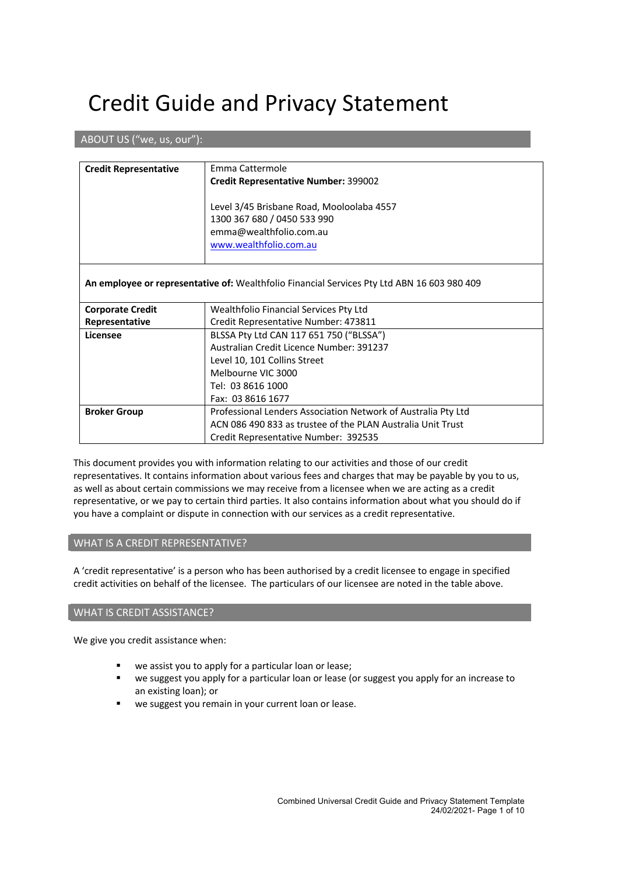# Credit Guide and Privacy Statement

# ABOUT US ("we, us, our"):

| <b>Credit Representative</b>                                                                | Emma Cattermole                                               |  |
|---------------------------------------------------------------------------------------------|---------------------------------------------------------------|--|
|                                                                                             |                                                               |  |
|                                                                                             | <b>Credit Representative Number: 399002</b>                   |  |
|                                                                                             |                                                               |  |
|                                                                                             | Level 3/45 Brisbane Road, Mooloolaba 4557                     |  |
|                                                                                             | 1300 367 680 / 0450 533 990                                   |  |
|                                                                                             | emma@wealthfolio.com.au                                       |  |
|                                                                                             | www.wealthfolio.com.au                                        |  |
|                                                                                             |                                                               |  |
|                                                                                             |                                                               |  |
| An employee or representative of: Wealthfolio Financial Services Pty Ltd ABN 16 603 980 409 |                                                               |  |
|                                                                                             |                                                               |  |
| <b>Corporate Credit</b>                                                                     | Wealthfolio Financial Services Pty Ltd                        |  |
|                                                                                             |                                                               |  |
| Representative                                                                              | Credit Representative Number: 473811                          |  |
| Licensee                                                                                    | BLSSA Pty Ltd CAN 117 651 750 ("BLSSA")                       |  |
|                                                                                             | Australian Credit Licence Number: 391237                      |  |
|                                                                                             | Level 10, 101 Collins Street                                  |  |
|                                                                                             | Melbourne VIC 3000                                            |  |
|                                                                                             | Tel: 03 8616 1000                                             |  |
|                                                                                             | Fax: 03 8616 1677                                             |  |
| <b>Broker Group</b>                                                                         | Professional Lenders Association Network of Australia Pty Ltd |  |
|                                                                                             | ACN 086 490 833 as trustee of the PLAN Australia Unit Trust   |  |
|                                                                                             |                                                               |  |
|                                                                                             | Credit Representative Number: 392535                          |  |

This document provides you with information relating to our activities and those of our credit representatives. It contains information about various fees and charges that may be payable by you to us, as well as about certain commissions we may receive from a licensee when we are acting as a credit representative, or we pay to certain third parties. It also contains information about what you should do if you have a complaint or dispute in connection with our services as a credit representative.

#### WHAT IS A CREDIT REPRESENTATIVE?

A 'credit representative' is a person who has been authorised by a credit licensee to engage in specified credit activities on behalf of the licensee. The particulars of our licensee are noted in the table above.

### WHAT IS CREDIT ASSISTANCE?

We give you credit assistance when:

- we assist you to apply for a particular loan or lease;
- we suggest you apply for a particular loan or lease (or suggest you apply for an increase to an existing loan); or
- we suggest you remain in your current loan or lease.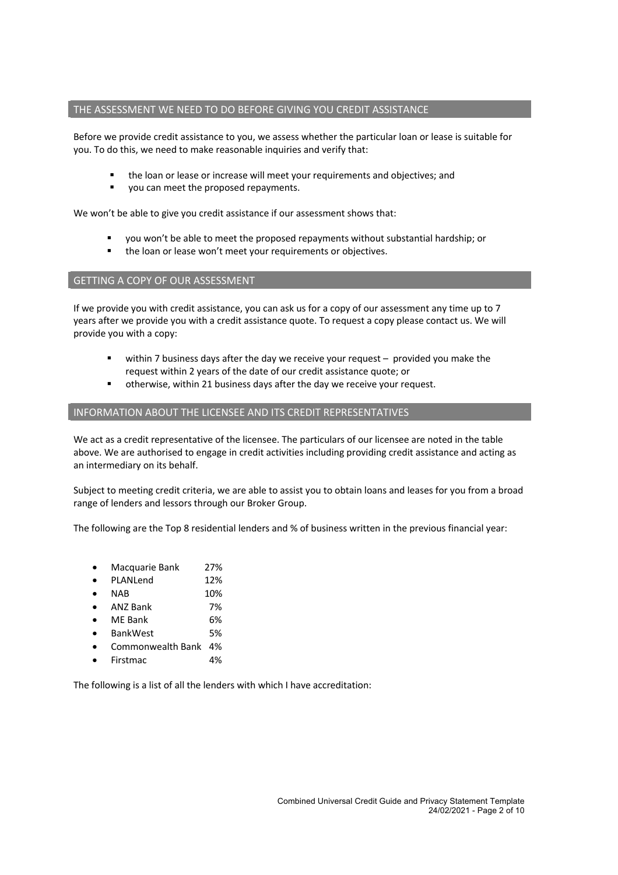#### THE ASSESSMENT WE NEED TO DO BEFORE GIVING YOU CREDIT ASSISTANCE

Before we provide credit assistance to you, we assess whether the particular loan or lease is suitable for you. To do this, we need to make reasonable inquiries and verify that:

- the loan or lease or increase will meet your requirements and objectives; and
- you can meet the proposed repayments.

We won't be able to give you credit assistance if our assessment shows that:

- § you won't be able to meet the proposed repayments without substantial hardship; or
- the loan or lease won't meet your requirements or objectives.

#### GETTING A COPY OF OUR ASSESSMENT

If we provide you with credit assistance, you can ask us for a copy of our assessment any time up to 7 years after we provide you with a credit assistance quote. To request a copy please contact us. We will provide you with a copy:

- within 7 business days after the day we receive your request provided you make the request within 2 years of the date of our credit assistance quote; or
- otherwise, within 21 business days after the day we receive your request.

# INFORMATION ABOUT THE LICENSEE AND ITS CREDIT REPRESENTATIVES

We act as a credit representative of the licensee. The particulars of our licensee are noted in the table above. We are authorised to engage in credit activities including providing credit assistance and acting as an intermediary on its behalf.

Subject to meeting credit criteria, we are able to assist you to obtain loans and leases for you from a broad range of lenders and lessors through our Broker Group.

The following are the Top 8 residential lenders and % of business written in the previous financial year:

- Macquarie Bank 27%
- PLANLend 12%
- NAB 10%
- ANZ Bank 7%
- ME Bank 6%
- BankWest 5%
- Commonwealth Bank 4%
- Firstmac 4%

The following is a list of all the lenders with which I have accreditation: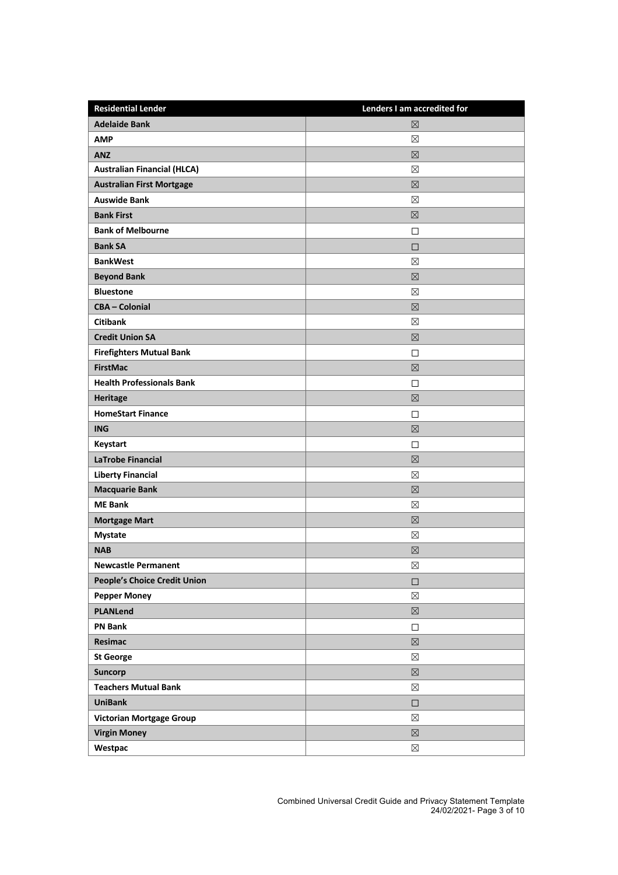| <b>Residential Lender</b>          | Lenders I am accredited for |
|------------------------------------|-----------------------------|
| <b>Adelaide Bank</b>               | $\boxtimes$                 |
| <b>AMP</b>                         | ⊠                           |
| <b>ANZ</b>                         | $\boxtimes$                 |
| <b>Australian Financial (HLCA)</b> | ⊠                           |
| <b>Australian First Mortgage</b>   | $\boxtimes$                 |
| <b>Auswide Bank</b>                | ⊠                           |
| <b>Bank First</b>                  | $\boxtimes$                 |
| <b>Bank of Melbourne</b>           | $\Box$                      |
| <b>Bank SA</b>                     | □                           |
| <b>BankWest</b>                    | ⊠                           |
| <b>Beyond Bank</b>                 | $\boxtimes$                 |
| <b>Bluestone</b>                   | ⊠                           |
| <b>CBA-Colonial</b>                | $\boxtimes$                 |
| <b>Citibank</b>                    | ⊠                           |
| <b>Credit Union SA</b>             | $\boxtimes$                 |
| <b>Firefighters Mutual Bank</b>    | $\Box$                      |
| <b>FirstMac</b>                    | $\boxtimes$                 |
| <b>Health Professionals Bank</b>   | $\Box$                      |
| Heritage                           | $\boxtimes$                 |
| <b>HomeStart Finance</b>           | $\Box$                      |
| <b>ING</b>                         | $\boxtimes$                 |
| Keystart                           | $\Box$                      |
| <b>LaTrobe Financial</b>           | $\boxtimes$                 |
| <b>Liberty Financial</b>           | ⊠                           |
| <b>Macquarie Bank</b>              | $\boxtimes$                 |
| <b>ME Bank</b>                     | ⊠                           |
| <b>Mortgage Mart</b>               | $\boxtimes$                 |
| <b>Mystate</b>                     | ⊠                           |
| <b>NAB</b>                         | ⊠                           |
| <b>Newcastle Permanent</b>         | $\boxtimes$                 |
| People's Choice Credit Union       | $\Box$                      |
| <b>Pepper Money</b>                | $\boxtimes$                 |
| <b>PLANLend</b>                    | $\boxtimes$                 |
| <b>PN Bank</b>                     | □                           |
| Resimac                            | $\boxtimes$                 |
| <b>St George</b>                   | $\boxtimes$                 |
| <b>Suncorp</b>                     | $\boxtimes$                 |
| <b>Teachers Mutual Bank</b>        | $\boxtimes$                 |
| <b>UniBank</b>                     | $\Box$                      |
| <b>Victorian Mortgage Group</b>    | $\boxtimes$                 |
| <b>Virgin Money</b>                | $\boxtimes$                 |
| Westpac                            | $\boxtimes$                 |

Combined Universal Credit Guide and Privacy Statement Template 24/02/2021- Page 3 of 10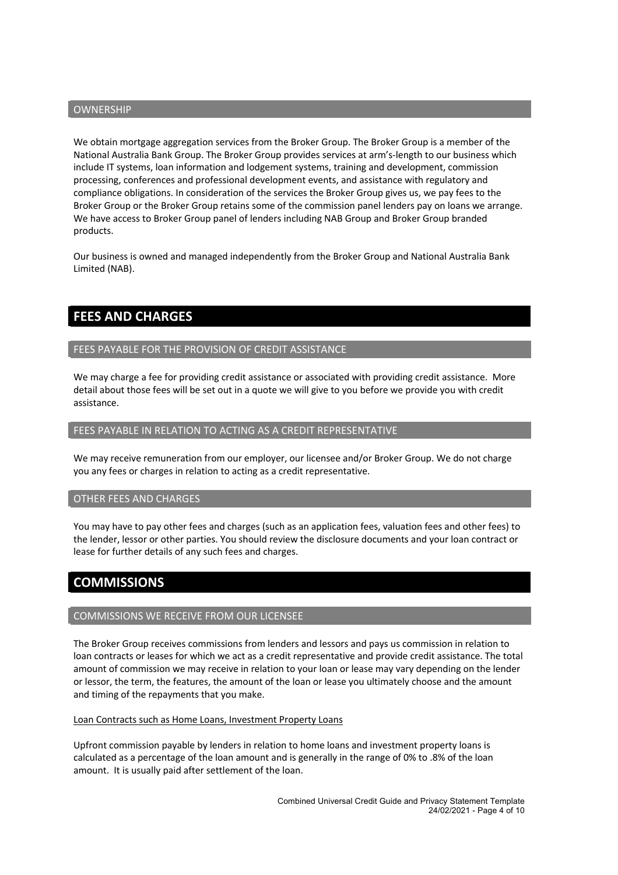#### OWNERSHIP

We obtain mortgage aggregation services from the Broker Group. The Broker Group is a member of the National Australia Bank Group. The Broker Group provides services at arm's-length to our business which include IT systems, loan information and lodgement systems, training and development, commission processing, conferences and professional development events, and assistance with regulatory and compliance obligations. In consideration of the services the Broker Group gives us, we pay fees to the Broker Group or the Broker Group retains some of the commission panel lenders pay on loans we arrange. We have access to Broker Group panel of lenders including NAB Group and Broker Group branded products.

Our business is owned and managed independently from the Broker Group and National Australia Bank Limited (NAB).

# **FEES AND CHARGES**

#### FEES PAYABLE FOR THE PROVISION OF CREDIT ASSISTANCE

We may charge a fee for providing credit assistance or associated with providing credit assistance. More detail about those fees will be set out in a quote we will give to you before we provide you with credit assistance.

#### FEES PAYABLE IN RELATION TO ACTING AS A CREDIT REPRESENTATIVE

We may receive remuneration from our employer, our licensee and/or Broker Group. We do not charge you any fees or charges in relation to acting as a credit representative.

#### OTHER FEES AND CHARGES

You may have to pay other fees and charges (such as an application fees, valuation fees and other fees) to the lender, lessor or other parties. You should review the disclosure documents and your loan contract or lease for further details of any such fees and charges.

# **COMMISSIONS**

#### COMMISSIONS WE RECEIVE FROM OUR LICENSEE

The Broker Group receives commissions from lenders and lessors and pays us commission in relation to loan contracts or leases for which we act as a credit representative and provide credit assistance. The total amount of commission we may receive in relation to your loan or lease may vary depending on the lender or lessor, the term, the features, the amount of the loan or lease you ultimately choose and the amount and timing of the repayments that you make.

#### Loan Contracts such as Home Loans, Investment Property Loans

Upfront commission payable by lenders in relation to home loans and investment property loans is calculated as a percentage of the loan amount and is generally in the range of 0% to .8% of the loan amount. It is usually paid after settlement of the loan.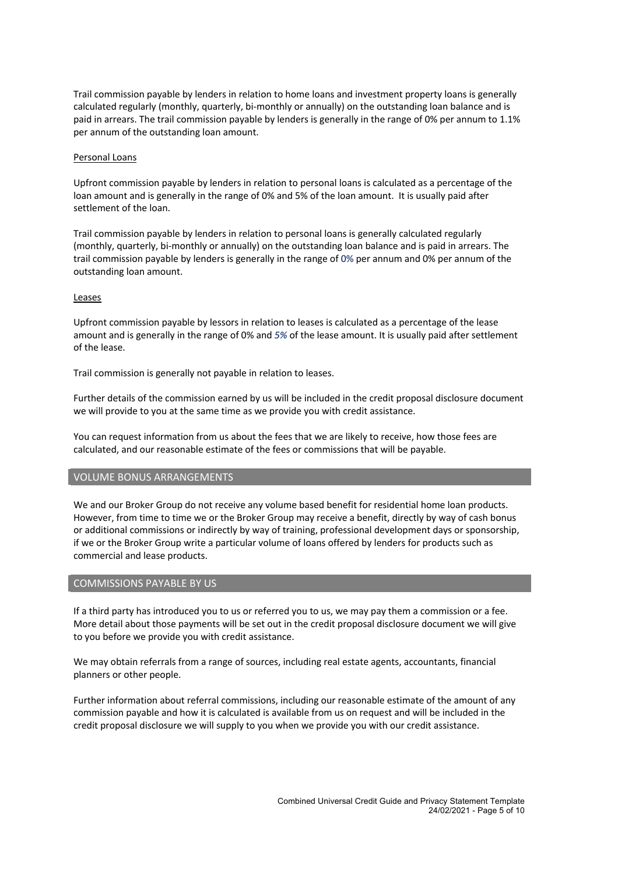Trail commission payable by lenders in relation to home loans and investment property loans is generally calculated regularly (monthly, quarterly, bi-monthly or annually) on the outstanding loan balance and is paid in arrears. The trail commission payable by lenders is generally in the range of 0% per annum to 1.1% per annum of the outstanding loan amount.

#### Personal Loans

Upfront commission payable by lenders in relation to personal loans is calculated as a percentage of the loan amount and is generally in the range of 0% and 5% of the loan amount. It is usually paid after settlement of the loan.

Trail commission payable by lenders in relation to personal loans is generally calculated regularly (monthly, quarterly, bi-monthly or annually) on the outstanding loan balance and is paid in arrears. The trail commission payable by lenders is generally in the range of 0% per annum and 0% per annum of the outstanding loan amount.

#### Leases

Upfront commission payable by lessors in relation to leases is calculated as a percentage of the lease amount and is generally in the range of 0% and *5%* of the lease amount. It is usually paid after settlement of the lease.

Trail commission is generally not payable in relation to leases.

Further details of the commission earned by us will be included in the credit proposal disclosure document we will provide to you at the same time as we provide you with credit assistance.

You can request information from us about the fees that we are likely to receive, how those fees are calculated, and our reasonable estimate of the fees or commissions that will be payable.

## VOLUME BONUS ARRANGEMENTS

We and our Broker Group do not receive any volume based benefit for residential home loan products. However, from time to time we or the Broker Group may receive a benefit, directly by way of cash bonus or additional commissions or indirectly by way of training, professional development days or sponsorship, if we or the Broker Group write a particular volume of loans offered by lenders for products such as commercial and lease products.

#### COMMISSIONS PAYABLE BY US

If a third party has introduced you to us or referred you to us, we may pay them a commission or a fee. More detail about those payments will be set out in the credit proposal disclosure document we will give to you before we provide you with credit assistance.

We may obtain referrals from a range of sources, including real estate agents, accountants, financial planners or other people.

Further information about referral commissions, including our reasonable estimate of the amount of any commission payable and how it is calculated is available from us on request and will be included in the credit proposal disclosure we will supply to you when we provide you with our credit assistance.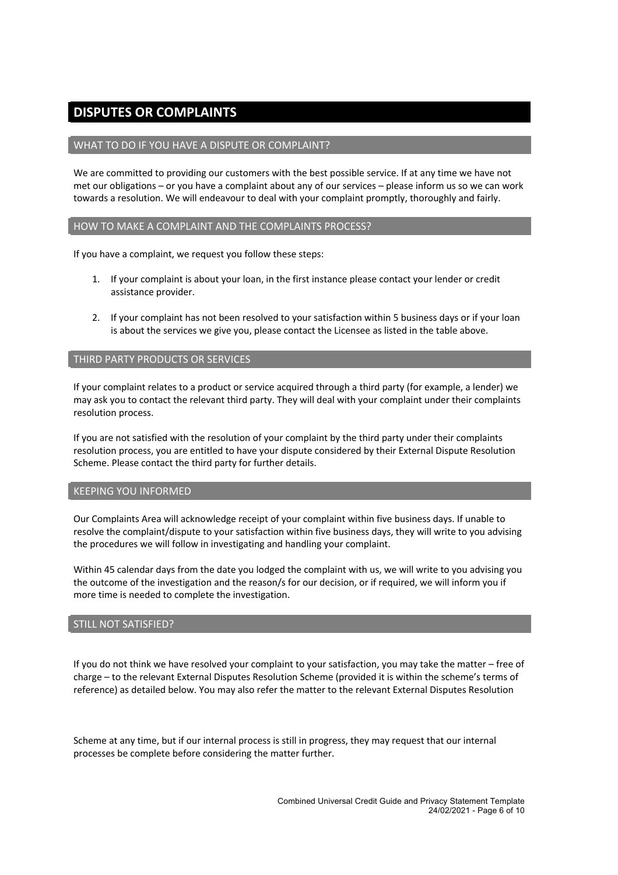# **DISPUTES OR COMPLAINTS**

## WHAT TO DO IF YOU HAVE A DISPUTE OR COMPLAINT?

We are committed to providing our customers with the best possible service. If at any time we have not met our obligations – or you have a complaint about any of our services – please inform us so we can work towards a resolution. We will endeavour to deal with your complaint promptly, thoroughly and fairly.

#### HOW TO MAKE A COMPLAINT AND THE COMPLAINTS PROCESS?

If you have a complaint, we request you follow these steps:

- 1. If your complaint is about your loan, in the first instance please contact your lender or credit assistance provider.
- 2. If your complaint has not been resolved to your satisfaction within 5 business days or if your loan is about the services we give you, please contact the Licensee as listed in the table above.

## THIRD PARTY PRODUCTS OR SERVICES

If your complaint relates to a product or service acquired through a third party (for example, a lender) we may ask you to contact the relevant third party. They will deal with your complaint under their complaints resolution process.

If you are not satisfied with the resolution of your complaint by the third party under their complaints resolution process, you are entitled to have your dispute considered by their External Dispute Resolution Scheme. Please contact the third party for further details.

#### KEEPING YOU INFORMED

Our Complaints Area will acknowledge receipt of your complaint within five business days. If unable to resolve the complaint/dispute to your satisfaction within five business days, they will write to you advising the procedures we will follow in investigating and handling your complaint.

Within 45 calendar days from the date you lodged the complaint with us, we will write to you advising you the outcome of the investigation and the reason/s for our decision, or if required, we will inform you if more time is needed to complete the investigation.

#### STILL NOT SATISFIED?

If you do not think we have resolved your complaint to your satisfaction, you may take the matter – free of charge – to the relevant External Disputes Resolution Scheme (provided it is within the scheme's terms of reference) as detailed below. You may also refer the matter to the relevant External Disputes Resolution

Scheme at any time, but if our internal process is still in progress, they may request that our internal processes be complete before considering the matter further.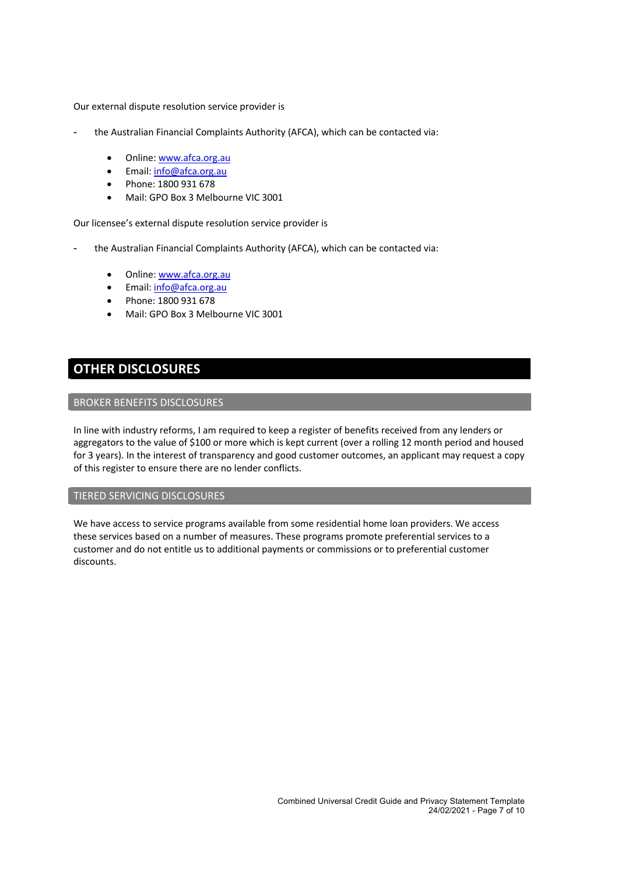Our external dispute resolution service provider is

- the Australian Financial Complaints Authority (AFCA), which can be contacted via:
	- Online: www.afca.org.au
	- Email: info@afca.org.au
	- Phone: 1800 931 678
	- Mail: GPO Box 3 Melbourne VIC 3001

Our licensee's external dispute resolution service provider is

- the Australian Financial Complaints Authority (AFCA), which can be contacted via:
	- Online: www.afca.org.au
	- Email: info@afca.org.au
	- Phone: 1800 931 678
	- Mail: GPO Box 3 Melbourne VIC 3001

# **OTHER DISCLOSURES**

#### BROKER BENEFITS DISCLOSURES

In line with industry reforms, I am required to keep a register of benefits received from any lenders or aggregators to the value of \$100 or more which is kept current (over a rolling 12 month period and housed for 3 years). In the interest of transparency and good customer outcomes, an applicant may request a copy of this register to ensure there are no lender conflicts.

# TIERED SERVICING DISCLOSURES

We have access to service programs available from some residential home loan providers. We access these services based on a number of measures. These programs promote preferential services to a customer and do not entitle us to additional payments or commissions or to preferential customer discounts.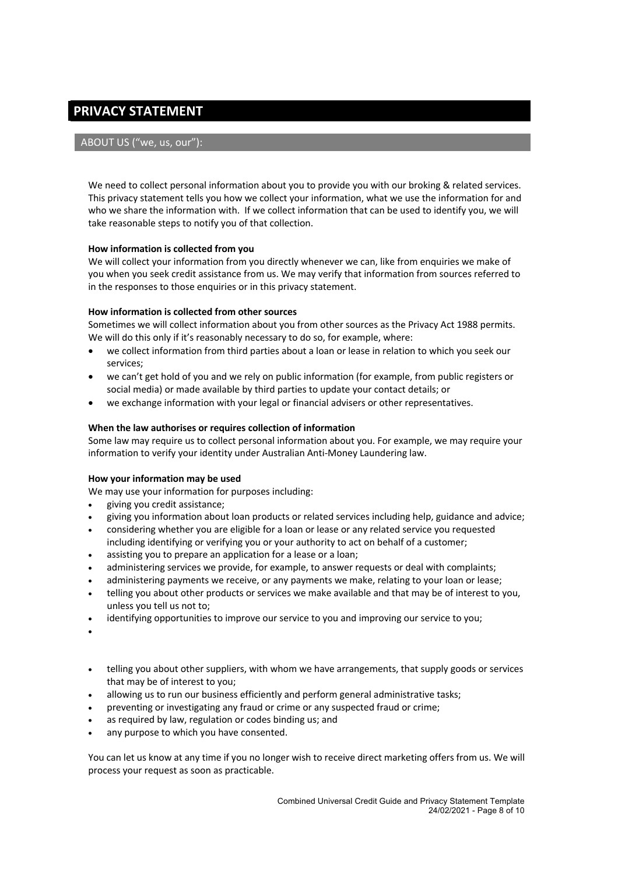# **PRIVACY STATEMENT**

# ABOUT US ("we, us, our"):

We need to collect personal information about you to provide you with our broking & related services. This privacy statement tells you how we collect your information, what we use the information for and who we share the information with. If we collect information that can be used to identify you, we will take reasonable steps to notify you of that collection.

#### **How information is collected from you**

We will collect your information from you directly whenever we can, like from enquiries we make of you when you seek credit assistance from us. We may verify that information from sources referred to in the responses to those enquiries or in this privacy statement.

# **How information is collected from other sources**

Sometimes we will collect information about you from other sources as the Privacy Act 1988 permits. We will do this only if it's reasonably necessary to do so, for example, where:

- we collect information from third parties about a loan or lease in relation to which you seek our services;
- we can't get hold of you and we rely on public information (for example, from public registers or social media) or made available by third parties to update your contact details; or
- we exchange information with your legal or financial advisers or other representatives.

# **When the law authorises or requires collection of information**

Some law may require us to collect personal information about you. For example, we may require your information to verify your identity under Australian Anti-Money Laundering law.

#### **How your information may be used**

We may use your information for purposes including:

- giving you credit assistance;
- giving you information about loan products or related services including help, guidance and advice;
- considering whether you are eligible for a loan or lease or any related service you requested including identifying or verifying you or your authority to act on behalf of a customer;
- assisting you to prepare an application for a lease or a loan;
- administering services we provide, for example, to answer requests or deal with complaints;
- administering payments we receive, or any payments we make, relating to your loan or lease;
- telling you about other products or services we make available and that may be of interest to you, unless you tell us not to;
- identifying opportunities to improve our service to you and improving our service to you;
- •
- telling you about other suppliers, with whom we have arrangements, that supply goods or services that may be of interest to you;
- allowing us to run our business efficiently and perform general administrative tasks;
- preventing or investigating any fraud or crime or any suspected fraud or crime;
- as required by law, regulation or codes binding us; and
- any purpose to which you have consented.

You can let us know at any time if you no longer wish to receive direct marketing offers from us. We will process your request as soon as practicable.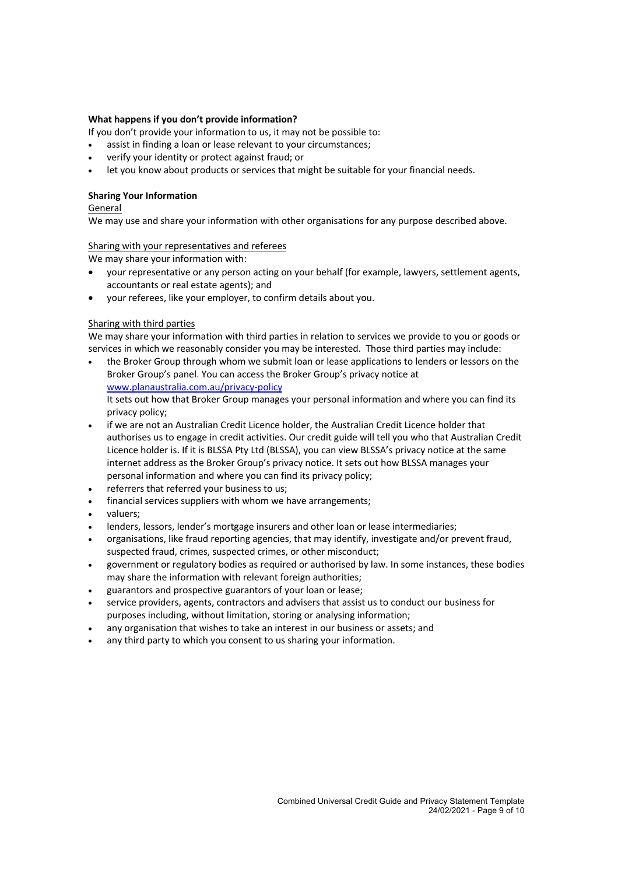## **What happens if you don't provide information?**

If you don't provide your information to us, it may not be possible to:

- assist in finding a loan or lease relevant to your circumstances;
- verify your identity or protect against fraud; or
- let you know about products or services that might be suitable for your financial needs.

# **Sharing Your Information**

General

We may use and share your information with other organisations for any purpose described above.

#### Sharing with your representatives and referees

We may share your information with:

- your representative or any person acting on your behalf (for example, lawyers, settlement agents, accountants or real estate agents); and
- your referees, like your employer, to confirm details about you.

#### Sharing with third parties

We may share your information with third parties in relation to services we provide to you or goods or services in which we reasonably consider you may be interested. Those third parties may include:

- the Broker Group through whom we submit loan or lease applications to lenders or lessors on the Broker Group's panel. You can access the Broker Group's privacy notice at www.planaustralia.com.au/privacy-policy It sets out how that Broker Group manages your personal information and where you can find its privacy policy;
- if we are not an Australian Credit Licence holder, the Australian Credit Licence holder that authorises us to engage in credit activities. Our credit guide will tell you who that Australian Credit Licence holder is. If it is BLSSA Pty Ltd (BLSSA), you can view BLSSA's privacy notice at the same internet address as the Broker Group's privacy notice. It sets out how BLSSA manages your personal information and where you can find its privacy policy;
- referrers that referred your business to us;
- financial services suppliers with whom we have arrangements;
- valuers;
- lenders, lessors, lender's mortgage insurers and other loan or lease intermediaries;
- organisations, like fraud reporting agencies, that may identify, investigate and/or prevent fraud, suspected fraud, crimes, suspected crimes, or other misconduct;
- government or regulatory bodies as required or authorised by law. In some instances, these bodies may share the information with relevant foreign authorities;
- guarantors and prospective guarantors of your loan or lease;
- service providers, agents, contractors and advisers that assist us to conduct our business for purposes including, without limitation, storing or analysing information;
- any organisation that wishes to take an interest in our business or assets; and
- any third party to which you consent to us sharing your information.